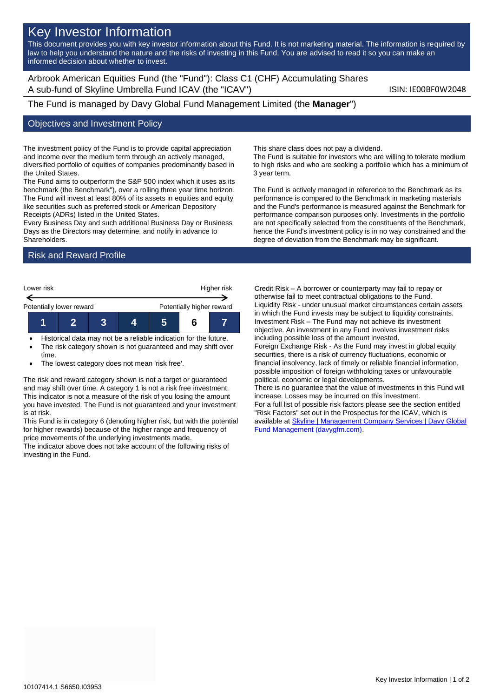## Key Investor Information

This document provides you with key investor information about this Fund. It is not marketing material. The information is required by law to help you understand the nature and the risks of investing in this Fund. You are advised to read it so you can make an informed decision about whether to invest.

Arbrook American Equities Fund (the "Fund"): Class C1 (CHF) Accumulating Shares A sub-fund of Skyline Umbrella Fund ICAV (the "ICAV") Sub-fund iSIN: IE00BF0W2048

The Fund is managed by Davy Global Fund Management Limited (the **Manager**")

## Objectives and Investment Policy

The investment policy of the Fund is to provide capital appreciation and income over the medium term through an actively managed, diversified portfolio of equities of companies predominantly based in the United States.

The Fund aims to outperform the S&P 500 index which it uses as its benchmark (the Benchmark"), over a rolling three year time horizon. The Fund will invest at least 80% of its assets in equities and equity like securities such as preferred stock or American Depository Receipts (ADRs) listed in the United States.

Every Business Day and such additional Business Day or Business Days as the Directors may determine, and notify in advance to Shareholders.

Risk and Reward Profile



• Historical data may not be a reliable indication for the future. The risk category shown is not guaranteed and may shift over

time.

The lowest category does not mean 'risk free'.

The risk and reward category shown is not a target or guaranteed and may shift over time. A category 1 is not a risk free investment. This indicator is not a measure of the risk of you losing the amount you have invested. The Fund is not guaranteed and your investment is at risk.

This Fund is in category 6 (denoting higher risk, but with the potential for higher rewards) because of the higher range and frequency of price movements of the underlying investments made.

The indicator above does not take account of the following risks of investing in the Fund.

This share class does not pay a dividend.

The Fund is suitable for investors who are willing to tolerate medium to high risks and who are seeking a portfolio which has a minimum of 3 year term.

The Fund is actively managed in reference to the Benchmark as its performance is compared to the Benchmark in marketing materials and the Fund's performance is measured against the Benchmark for performance comparison purposes only. Investments in the portfolio are not specifically selected from the constituents of the Benchmark, hence the Fund's investment policy is in no way constrained and the degree of deviation from the Benchmark may be significant.

Credit Risk – A borrower or counterparty may fail to repay or otherwise fail to meet contractual obligations to the Fund. Liquidity Risk - under unusual market circumstances certain assets in which the Fund invests may be subject to liquidity constraints. Investment Risk – The Fund may not achieve its investment objective. An investment in any Fund involves investment risks including possible loss of the amount invested. Foreign Exchange Risk - As the Fund may invest in global equity

securities, there is a risk of currency fluctuations, economic or financial insolvency, lack of timely or reliable financial information, possible imposition of foreign withholding taxes or unfavourable political, economic or legal developments.

There is no guarantee that the value of investments in this Fund will increase. Losses may be incurred on this investment. For a full list of possible risk factors please see the section entitled "Risk Factors" set out in the Prospectus for the ICAV, which is available a[t Skyline | Management Company Services | Davy Global](https://www.davygfm.com/funds-factsheets/management-company-services/ireland/skyline.html) 

[Fund Management \(davygfm.com\).](https://www.davygfm.com/funds-factsheets/management-company-services/ireland/skyline.html)